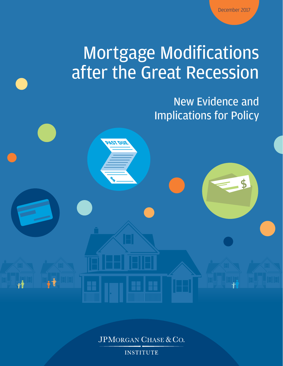\$

# Mortgage Modifications after the Great Recession

**PAST DUE**

**\$**

New Evidence and Implications for Policy

JPMORGAN CHASE & CO.

**INSTITUTE**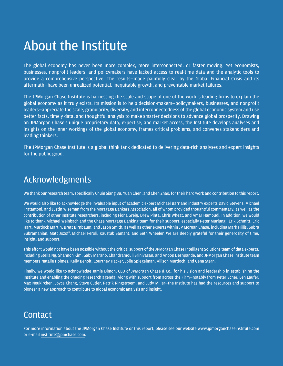## About the Institute

The global economy has never been more complex, more interconnected, or faster moving. Yet economists, businesses, nonprofit leaders, and policymakers have lacked access to real-time data and the analytic tools to provide a comprehensive perspective. The results—made painfully clear by the Global Financial Crisis and its aftermath—have been unrealized potential, inequitable growth, and preventable market failures.

The JPMorgan Chase Institute is harnessing the scale and scope of one of the world's leading firms to explain the global economy as it truly exists. Its mission is to help decision-makers—policymakers, businesses, and nonprofit leaders—appreciate the scale, granularity, diversity, and interconnectedness of the global economic system and use better facts, timely data, and thoughtful analysis to make smarter decisions to advance global prosperity. Drawing on JPMorgan Chase's unique proprietary data, expertise, and market access, the Institute develops analyses and insights on the inner workings of the global economy, frames critical problems, and convenes stakeholders and leading thinkers.

The JPMorgan Chase Institute is a global think tank dedicated to delivering data-rich analyses and expert insights for the public good.

### Acknowledgments

We thank our research team, specifically Chuin Siang Bu, Yuan Chen, and Chen Zhao, for their hard work and contribution to this report.

We would also like to acknowledge the invaluable input of academic expert Michael Barr and industry experts David Stevens, Michael Fratantoni, and Justin Wiseman from the Mortgage Bankers Association, all of whom provided thoughtful commentary, as well as the contribution of other Institute researchers, including Fiona Greig, Drew Pinta, Chris Wheat, and Amar Hamoudi. In addition, we would like to thank Michael Weinbach and the Chase Mortgage Banking team for their support, especially Peter Muriungi, Erik Schmitt, Eric Hart, Murdock Martin, Brett Birnbaum, and Jason Smith, as well as other experts within JP Morgan Chase, including Mark Hillis, Subra Subramanian, Matt Jozoff, Michael Feroli, Kaustub Samant, and Seth Wheeler. We are deeply grateful for their generosity of time, insight, and support.

This effort would not have been possible without the critical support of the JPMorgan Chase Intelligent Solutions team of data experts, including Stella Ng, Shannon Kim, Gaby Marano, Chandramouli Srinivasan, and Anoop Deshpande, and JPMorgan Chase Institute team members Natalie Holmes, Kelly Benoit, Courtney Hacker, Jolie Spiegelman, Allison Murdoch, and Gena Stern.

Finally, we would like to acknowledge Jamie Dimon, CEO of JPMorgan Chase & Co., for his vision and leadership in establishing the Institute and enabling the ongoing research agenda. Along with support from across the Firm—notably from Peter Scher, Len Laufer, Max Neukirchen, Joyce Chang, Steve Cutler, Patrik Ringstroem, and Judy Miller—the Institute has had the resources and support to pioneer a new approach to contribute to global economic analysis and insight.

### **Contact**

For more information about the JPMorgan Chase Institute or this report, please see our website [www.jpmorganchaseinstitute.com](https://www.jpmorganchase.com/corporate/institute/institute.htm) or e-mail [institute@jpmchase.com](mailto:institute%40jpmchase.com?subject=).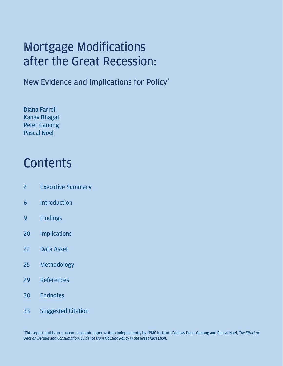## <span id="page-2-0"></span>Mortgage Modifications after the Great Recession:

New Evidence and Implications for Policy\*

Diana Farrell Kanav Bhagat Peter Ganong Pascal Noel

## **Contents**

- 2 [Executive Summary](#page-3-0)
- 6 [Introduction](#page-7-0)
- 9 [Findings](#page-10-0)
- 20 [Implications](#page-21-0)
- 22 [Data Asset](#page-23-0)
- 25 [Methodology](#page-26-0)
- 29 [References](#page-30-0)
- 30 [Endnotes](#page-31-0)
- 33 [Suggested Citation](#page-34-0)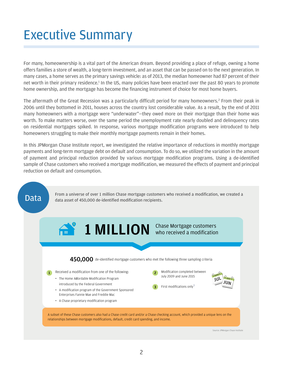## <span id="page-3-0"></span>Executive Summary

For many, homeownership is a vital part of the American dream. Beyond providing a place of refuge, owning a home offers families a store of wealth, a long-term investment, and an asset that can be passed on to the next generation. In many cases, a home serves as the primary savings vehicle: as of 2013, the median homeowner had 87 percent of their net worth in their primary residence.<sup>1</sup> In the US, many policies have been enacted over the past 80 years to promote home ownership, and the mortgage has become the financing instrument of choice for most home buyers.

The aftermath of the Great Recession was a particularly difficult period for many homeowners.<sup>2</sup> From their peak in 2006 until they bottomed in 2011, houses across the country lost considerable value. As a result, by the end of 2011 many homeowners with a mortgage were "underwater"—they owed more on their mortgage than their home was worth. To make matters worse, over the same period the unemployment rate nearly doubled and delinquency rates on residential mortgages spiked. In response, various mortgage modification programs were introduced to help homeowners struggling to make their monthly mortgage payments remain in their homes.

In this JPMorgan Chase Institute report, we investigated the relative importance of reductions in monthly mortgage payments and long-term mortgage debt on default and consumption. To do so, we utilized the variation in the amount of payment and principal reduction provided by various mortgage modification programs. Using a de-identified sample of Chase customers who received a mortgage modification, we measured the effects of payment and principal reduction on default and consumption.

From a universe of over 1 million Chase mortgage customers who received a modification, we created a<br>data asset of 450,000 de-identified modification recipients data asset of 450,000 de-identified modification recipients.

## 1 MILLION Chase Mortgage customers  $450.000$  de-identified mortgage customers who met the following three sampling criteria \$

- Received a modification from one of the following:
	- The Home Affordable Modification Program introduced by the Federal Government
	- A modification program of the Government Sponsored Enterprises Fannie Mae and Freddie Mac
	- A Chase proprietary modification program
- Modification completed between July 2009 and June 2015
- 3 First modifications only $3$



A subset of these Chase customers also had a Chase credit card and/or a Chase checking account, which provided a unique lens on the relationships between mortgage modifications, default, credit card spending, and income.

Source: JPMorgan Chase Institute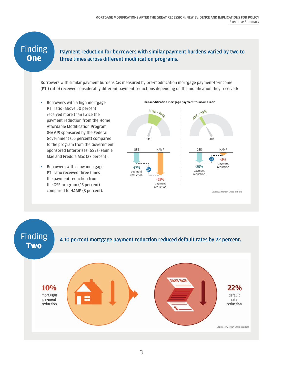### Finding **One**

#### Payment reduction for borrowers with similar payment burdens varied by two to three times across different modification programs.

Borrowers with similar payment burdens (as measured by pre-modification mortgage payment-to-income (PTI) ratio) received considerably different payment reductions depending on the modification they received:

- *•* Borrowers with a high mortgage PTI ratio (above 50 percent) received more than twice the payment reduction from the Home Affordable Modification Program (HAMP) sponsored by the Federal Government (55 percent) compared to the program from the Government Sponsored Enterprises (GSEs) Fannie Mae and Freddie Mac (27 percent).
- *•* Borrowers with a low mortgage PTI ratio received three times the payment reduction from the GSE program (25 percent)



Finding A 10 percent mortgage payment reduction reduced default rates by 22 percent.**Two** UO T2A 10% 22% mortgage default payment rate reduction reduction Source: JPMorgan Chase Institute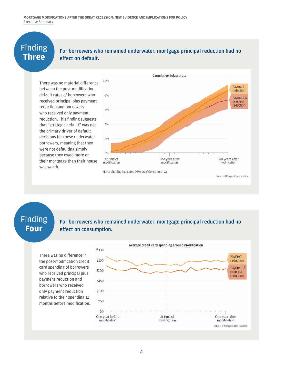# Finding

#### **THRINE FOR FOR FOR FOR THRING PROGRESS** For borrowers who remained underwater, mortgage principal reduction had no<br>Three effect on default. effect on default.

There was no material difference between the post-modification default rates of borrowers who received principal plus payment reduction and borrowers who received only payment reduction. This finding suggests that "strategic default" was not the primary driver of default decisions for these underwater borrowers, meaning that they were not defaulting simply because they owed more on their mortgage than their house was worth.



### Finding **Four**

#### For borrowers who remained underwater, mortgage principal reduction had no effect on consumption.

There was no difference in the post-modification credit card spending of borrowers who received principal plus payment reduction and borrowers who received only payment reduction relative to their spending 12 months before modification.

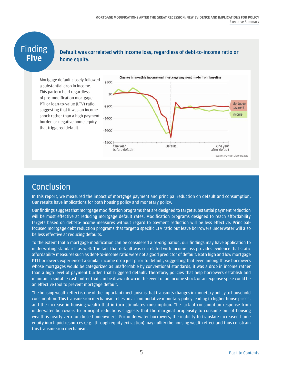# Finding<br>Five

#### **Five** Default was correlated with income loss, regardless of debt-to-income ratio or home equity.

Mortgage default closely followed a substantial drop in income. This pattern held regardless of pre-modification mortgage PTI or loan-to-value (LTV) ratio, suggesting that it was an income shock rather than a high payment burden or negative home equity that triggered default.



### Conclusion

In this report, we measured the impact of mortgage payment and principal reduction on default and consumption. Our results have implications for both housing policy and monetary policy.

Our findings suggest that mortgage modification programs that are designed to target substantial payment reduction will be most effective at reducing mortgage default rates. Modification programs designed to reach affordability targets based on debt-to-income measures without regard to payment reduction will be less effective. Principalfocused mortgage debt reduction programs that target a specific LTV ratio but leave borrowers underwater will also be less effective at reducing defaults.

To the extent that a mortgage modification can be considered a re-origination, our findings may have application to underwriting standards as well. The fact that default was correlated with income loss provides evidence that static affordability measures such as debt-to-income ratio were not a good predictor of default. Both high and low mortgage PTI borrowers experienced a similar income drop just prior to default, suggesting that even among those borrowers whose mortgages would be categorized as unaffordable by conventional standards, it was a drop in income rather than a high level of payment burden that triggered default. Therefore, policies that help borrowers establish and maintain a suitable cash buffer that can be drawn down in the event of an income shock or an expense spike could be an effective tool to prevent mortgage default.

The housing wealth effect is one of the important mechanisms that transmits changes in monetary policy to household consumption. This transmission mechanism relies on accommodative monetary policy leading to higher house prices, and the increase in housing wealth that in turn stimulates consumption. The lack of consumption response from underwater borrowers to principal reductions suggests that the marginal propensity to consume out of housing wealth is nearly zero for these homeowners. For underwater borrowers, the inability to translate increased home equity into liquid resources (e.g., through equity extraction) may nullify the housing wealth effect and thus constrain this transmission mechanism.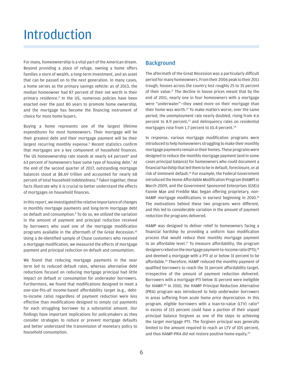## <span id="page-7-0"></span>Introduction

For many, homeownership is a vital part of the American dream. Beyond providing a place of refuge, owning a home offers families a store of wealth, a long-term investment, and an asset that can be passed on to the next generation. In many cases, a home serves as the primary savings vehicle: as of 2013, the median homeowner had 87 percent of their net worth in their primary residence[.4](#page-31-4) In the US, numerous policies have been enacted over the past 80 years to promote home ownership, and the mortgage has become the financing instrument of choice for most home buyers.

Buying a home represents one of the largest lifetime expenditures for most homeowners. Their mortgage will be their greatest debt and their mortgage payment will be their largest recurring monthly expense.<sup>[5](#page-31-5)</sup> Recent statistics confirm that mortgages are a key component of household finances. The US homeownership rate stands at nearly 64 percent<sup>6</sup> and 63 percent of homeowners have some type of housing debt.<sup>[7](#page-31-7)</sup> At the end of the second quarter of 2017, outstanding mortgage balances stood at \$8.69 trillion and accounted for nearly 68 percent of total household indebtedness.<sup>[8](#page-31-8)</sup> Taken together, these facts illustrate why it is crucial to better understand the effects of mortgages on household finances.

In this report, we investigated the relative importance of changes in monthly mortgage payments and long-term mortgage debt on default and consumption.<sup>9</sup> To do so, we utilized the variation in the amount of payment and principal reduction received by borrowers who used one of the mortgage modification programs available in the aftermath of the Great Recession.<sup>[10](#page-31-10)</sup> Using a de-identified sample of Chase customers who received a mortgage modification, we measured the effects of mortgage payment and principal reduction on default and consumption.

We found that reducing mortgage payments in the near term led to reduced default rates, whereas alternative debt reductions focused on reducing mortgage principal had little impact on default or consumption for underwater borrowers. Furthermore, we found that modifications designed to meet a one-size-fits-all income-based affordability target (e.g., debtto-income ratio) regardless of payment reduction were less effective than modifications designed to simply cut payments for each struggling borrower by a substantial amount. Our findings have important implications for policymakers as they consider strategies to reduce or prevent mortgage defaults and better understand the transmission of monetary policy to household consumption.

#### **Background**

The aftermath of the Great Recession was a particularly difficult period for many homeowners. From their 2006 peak to their 2011 trough, houses across the country lost roughly 25 to 35 percent of their value.<sup>[11](#page-31-11)</sup> The decline in house prices meant that by the end of 2011, nearly one in four homeowners with a mortgage were "underwater"—they owed more on their mortgage than their home was worth.[12](#page-31-12) To make matters worse, over the same period, the unemployment rate nearly doubled, rising from 4.6 percent to 8.9 percent,<sup>13</sup> and delinquency rates on residential mortgages rose from 1.7 percent to 10.4 percent.<sup>[14](#page-31-14)</sup>

In response, various mortgage modification programs were introduced to help homeowners struggling to make their monthly mortgage payments remain in their homes. These programs were designed to reduce the monthly mortgage payment (and in some cases principal balance) for homeowners who could document a financial hardship that led them to be in default, foreclosure, or at risk of imminent default[.15](#page-31-15) For example, the Federal Government introduced the Home Affordable Modification Program (HAMP) in March 2009, and the Government Sponsored Enterprises (GSEs) Fannie Mae and Freddie Mac began offering proprietary, non-HAMP mortgage modifications in earnest beginning in 2010.<sup>[16](#page-31-16)</sup> The motivations behind these two programs were different, and this led to considerable variation in the amount of payment reduction the programs delivered.

HAMP was designed to deliver relief to homeowners facing a financial hardship by providing a uniform loan modification process that would reduce their monthly mortgage payment to an affordable level.<sup>17</sup> To measure affordability, the program designers relied on the mortgage payment-to-income ratio (PTI),<sup>[18](#page-31-18)</sup> and deemed a mortgage with a PTI at or below 31 percent to be affordable[.19](#page-31-19) Therefore, HAMP reduced the monthly payment of qualified borrowers to reach the 31 percent affordability target, irrespective of the amount of payment reduction delivered. Borrowers with a mortgage PTI below 31 percent were ineligible for HAMP.<sup>20</sup> In 2010, the HAMP Principal Reduction Alternative (PRA) program was introduced to help underwater borrowers in areas suffering from acute home price depreciation. In this program, eligible borrowers with a loan-to-value (LTV) ratio<sup>21</sup> in excess of 115 percent could have a portion of their unpaid principal balance forgiven as one of the steps to achieving the target mortgage PTI. The forgiven principal was generally limited to the amount required to reach an LTV of 105 percent, and thus HAMP-PRA did not restore positive home equity.<sup>[22](#page-31-22)</sup>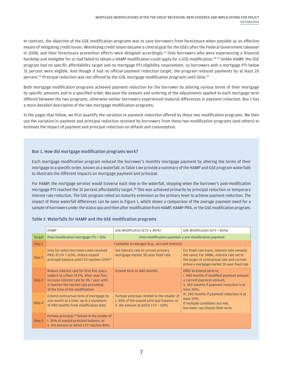In contrast, the objective of the GSE modification programs was to save borrowers from foreclosure when possible as an effective means of mitigating credit losses. Minimizing credit losses became a central goal for the GSEs after the Federal Government takeover in 2008, and their foreclosure prevention efforts were designed accordingly.<sup>23</sup> Only borrowers who were experiencing a financial hardship and ineligible for or had failed to obtain a HAMP modification could apply for a GSE modification.<sup>[24,](#page-31-24) 25</sup> Unlike HAMP, the GSE program had no specific affordability target and no mortgage PTI eligibility requirement, so borrowers with a mortgage PTI below 31 percent were eligible. And though it had no official payment reduction target, the program reduced payments by at least 20 percent.<sup>[26](#page-31-26)</sup> Principal reduction was not offered by the GSE mortgage modification programs until 2016.<sup>[27](#page-32-0)</sup>

Both mortgage modification programs achieved payment reduction for the borrower by altering various terms of their mortgage by specific amounts and in a specified order. Because the amount and ordering of the adjustments applied to each mortgage term differed between the two programs, otherwise similar borrowers experienced material differences in payment reduction. Box 1 has a more detailed description of the two mortgage modification programs.

In the pages that follow, we first quantify the variation in payment reduction offered by these two modification programs. We then use the variation in payment and principal reduction received by borrowers from these two modification programs (and others) to estimate the impact of payment and principal reduction on default and consumption.

#### Box 1. How did mortgage modification programs work?

Each mortgage modification program reduced the borrower's monthly mortgage payment by altering the terms of their mortgage in a specific order, known as a waterfall. In Table 1 we provide a summary of the HAMP and GSE program waterfalls to illustrate the different impacts on mortgage payment and principal.

For HAMP, the mortgage servicer would traverse each step in the waterfall, stopping when the borrower's post-modification mortgage PTI reached the 31 percent affordability target.[28](#page-32-1) This was achieved primarily by principal reduction or temporary interest rate reduction. The GSE program relied on maturity extension as the primary lever to achieve payment reduction. The impact of these waterfall differences can be seen in Figure 1, which shows a comparison of the average payment owed for a sample of borrowers under the status quo and then after modification from HAMP, HAMP-PRA, or the GSE modification program.

|               | <b>HAMP</b>                                                                                                                                                                                                       | GSE Modification (LTV $\geq$ 80%)                                                                                                   | GSE Modification (LTV < 80%)                                                                                                                                                        |  |  |  |  |
|---------------|-------------------------------------------------------------------------------------------------------------------------------------------------------------------------------------------------------------------|-------------------------------------------------------------------------------------------------------------------------------------|-------------------------------------------------------------------------------------------------------------------------------------------------------------------------------------|--|--|--|--|
| <b>Target</b> | Post-modification mortgage PTI = 31%                                                                                                                                                                              | Post-modification payment $\leq$ pre-modification payment                                                                           |                                                                                                                                                                                     |  |  |  |  |
| Step 1        |                                                                                                                                                                                                                   | Capitalize arrearages (e.g., accrued interest)                                                                                      |                                                                                                                                                                                     |  |  |  |  |
| Step 2        | Only for select borrowers who received<br>PRA: If LTV > 115%, reduce unpaid<br>principal balance until LTV reaches 115% <sup>29</sup>                                                                             | Set interest rate to current primary<br>mortgage market 30-year fixed rate                                                          | For fixed-rate loans, interest rate remains<br>the same; For ARMs, interest rate set to<br>the larger of contractual rate and current<br>primary mortgage market 30-year fixed rate |  |  |  |  |
| Step 3        | Reduce interest rate for first five years,<br>subject to a floor of 2%. After year five,<br>increase interest rate by 1% / year until<br>it reaches the market rate prevailing<br>at the time of the modification | <b>Extend term to 480 months</b>                                                                                                    | Offer to extend term to:<br>i. 480 months if modified payment amount<br>$\leq$ current payment amount,<br>ii. 360 months if payment reduction is at<br>least 20%.                   |  |  |  |  |
| Step 4        | Extend contractual term of mortgage by<br>one month at a time, up to a maximum<br>of 480 months from modification date                                                                                            | Forbear principal, limited to the smaller of<br>i. 30% of the unpaid principal balance, or<br>ii, the amount at which $LTV = 115\%$ | iii. 240 months if payment reduction is at<br>least 20%.<br>If multiple conditions are met,<br>borrower can choose their term                                                       |  |  |  |  |
| Step 5        | Forbear principal, <sup>30</sup> limited to the smaller of<br>i. 30% of unpaid principal balance, or<br>ii, the amount at which LTV reaches 80%                                                                   |                                                                                                                                     |                                                                                                                                                                                     |  |  |  |  |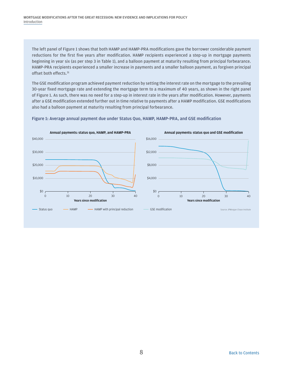The left panel of Figure 1 shows that both HAMP and HAMP-PRA modifications gave the borrower considerable payment reductions for the first five years after modification. HAMP recipients experienced a step-up in mortgage payments beginning in year six (as per step 3 in Table 1), and a balloon payment at maturity resulting from principal forbearance. HAMP-PRA recipients experienced a smaller increase in payments and a smaller balloon payment, as forgiven principal offset both effects.<sup>[31](#page-32-4)</sup>

The GSE modification program achieved payment reduction by setting the interest rate on the mortgage to the prevailing 30-year fixed mortgage rate and extending the mortgage term to a maximum of 40 years, as shown in the right panel of Figure 1. As such, there was no need for a step-up in interest rate in the years after modification. However, payments after a GSE modification extended further out in time relative to payments after a HAMP modification. GSE modifications also had a balloon payment at maturity resulting from principal forbearance.



Figure 1: Average annual payment due under Status Quo, HAMP, HAMP-PRA, and GSE modification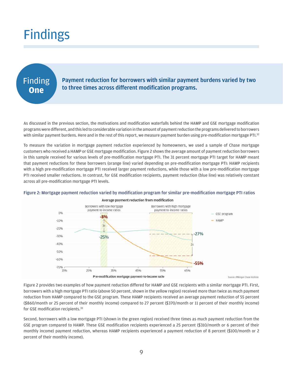## <span id="page-10-0"></span>**Findings**

### Finding **One**

Payment reduction for borrowers with similar payment burdens varied by two to three times across different modification programs.

As discussed in the previous section, the motivations and modification waterfalls behind the HAMP and GSE mortgage modification programs were different, and this led to considerable variation in the amount of payment reduction the programs delivered to borrowers with similar payment burdens. Here and in the rest of this report, we measure payment burden using pre-modification mortgage PTI.<sup>32</sup>

To measure the variation in mortgage payment reduction experienced by homeowners, we used a sample of Chase mortgage customers who received a HAMP or GSE mortgage modification. Figure 2 shows the average amount of payment reduction borrowers in this sample received for various levels of pre-modification mortgage PTI. The 31 percent mortgage PTI target for HAMP meant that payment reductions for these borrowers (orange line) varied depending on pre-modification mortgage PTI: HAMP recipients with a high pre-modification mortgage PTI received larger payment reductions, while those with a low pre-modification mortgage PTI received smaller reductions. In contrast, for GSE modification recipients, payment reduction (blue line) was relatively constant across all pre-modification mortgage PTI levels.



#### Figure 2: Mortgage payment reduction varied by modification program for similar pre-modification mortgage PTI ratios

Figure 2 provides two examples of how payment reduction differed for HAMP and GSE recipients with a similar mortgage PTI. First, borrowers with a high mortgage PTI ratio (above 50 percent, shown in the yellow region) received more than twice as much payment reduction from HAMP compared to the GSE program. These HAMP recipients received an average payment reduction of 55 percent (\$860/month or 25 percent of their monthly income) compared to 27 percent (\$370/month or 11 percent of their monthly income) for GSE modification recipients.[33](#page-32-6)

Second, borrowers with a low mortgage PTI (shown in the green region) received three times as much payment reduction from the GSE program compared to HAMP. These GSE modification recipients experienced a 25 percent (\$310/month or 6 percent of their monthly income) payment reduction, whereas HAMP recipients experienced a payment reduction of 8 percent (\$100/month or 2 percent of their monthly income).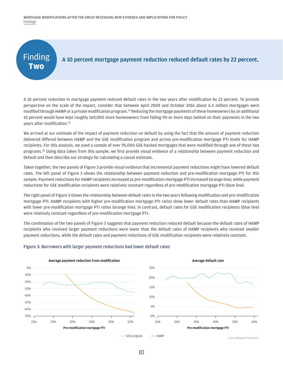MORTGAGE MODIFICATIONS AFTER THE GREAT RECESSION: NEW EVIDENCE AND IMPLICATIONS FOR POLICY Findings

### Finding **Two**

#### A 10 percent mortgage payment reduction reduced default rates by 22 percent.

A 10 percent reduction in mortgage payment reduced default rates in the two years after modification by 22 percent. To provide perspective on the scale of the impact, consider that between April 2009 and October 2016 about 6.5 million mortgages were modified through HAMP or a private modification program.<sup>34</sup> Reducing the mortgage payments of these homeowners by an additional 10 percent would have kept roughly 169,000 more homeowners from falling 90 or more days behind on their payments in the two years after modification.[35](#page-32-8)

We arrived at our estimate of the impact of payment reduction on default by using the fact that the amount of payment reduction delivered differed between HAMP and the GSE modification program and across pre-modification mortgage PTI levels for HAMP recipients. For this analysis, we used a sample of over 95,000 GSE-backed mortgages that were modified through one of these two programs.[36](#page-32-9) Using data taken from this sample, we first provide visual evidence of a relationship between payment reduction and default and then describe our strategy for calculating a causal estimate.

Taken together, the two panels of Figure 3 provide visual evidence that incremental payment reductions might have lowered default rates. The left panel of Figure 3 shows the relationship between payment reduction and pre-modification mortgage PTI for this sample. Payment reductions for HAMP recipients increased as pre-modification mortgage PTI increased (orange line), while payment reductions for GSE modification recipients were relatively constant regardless of pre-modification mortgage PTI (blue line).

The right panel of Figure 3 shows the relationship between default rates in the two years following modification and pre-modification mortgage PTI. HAMP recipients with higher pre-modification mortgage PTI ratios show lower default rates than HAMP recipients with lower pre-modification mortgage PTI ratios (orange line). In contrast, default rates for GSE modification recipients (blue line) were relatively constant regardless of pre-modification mortgage PTI.

The combination of the two panels of Figure 3 suggests that payment reduction reduced default because the default rates of HAMP recipients who received larger payment reductions were lower than the default rates of HAMP recipients who received smaller payment reductions, while the default rates and payment reductions of GSE modification recipients were relatively constant.



#### Figure 3: Borrowers with larger payment reductions had lower default rates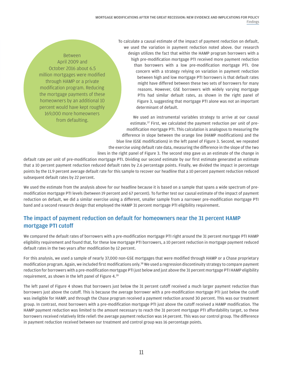Between April 2009 and October 2016 about 6.5 million mortgages were modified through HAMP or a private modification program. Reducing the mortgage payments of these homeowners by an additional 10 percent would have kept roughly 169,000 more homeowners from defaulting.

To calculate a causal estimate of the impact of payment reduction on default, we used the variation in payment reduction noted above. Our research design utilizes the fact that within the HAMP program borrowers with a high pre-modification mortgage PTI received more payment reduction than borrowers with a low pre-modification mortgage PTI. One concern with a strategy relying on variation in payment reduction between high and low mortgage PTI borrowers is that default rates might have differed between these two sets of borrowers for many reasons. However, GSE borrowers with widely varying mortgage PTIs had similar default rates, as shown in the right panel of Figure 3, suggesting that mortgage PTI alone was not an important determinant of default.

We used an instrumental variables strategy to arrive at our causal estimate[.37](#page-32-10) First, we calculated the payment reduction per unit of premodification mortgage PTI. This calculation is analogous to measuring the difference in slope between the orange line (HAMP modifications) and the blue line (GSE modifications) in the left panel of Figure 3. Second, we repeated the exercise using default rate data, measuring the difference in the slope of the two lines in the right panel of Figure 3. The second step gave us an estimate of the change in

default rate per unit of pre-modification mortgage PTI. Dividing our second estimate by our first estimate generated an estimate that a 10 percent payment reduction reduced default rates by 2.6 percentage points. Finally, we divided the impact in percentage points by the 11.9 percent average default rate for this sample to recover our headline that a 10 percent payment reduction reduced subsequent default rates by 22 percent.

We used the estimate from the analysis above for our headline because it is based on a sample that spans a wide spectrum of premodification mortgage PTI levels (between 19 percent and 67 percent). To further test our causal estimate of the impact of payment reduction on default, we did a similar exercise using a different, smaller sample from a narrower pre-modification mortgage PTI band and a second research design that employed the HAMP 31 percent mortgage PTI eligibility requirement.

#### The impact of payment reduction on default for homeowners near the 31 percent HAMP mortgage PTI cutoff

We compared the default rates of borrowers with a pre-modification mortgage PTI right around the 31 percent mortgage PTI HAMP eligibility requirement and found that, for these low mortgage PTI borrowers, a 10 percent reduction in mortgage payment reduced default rates in the two years after modification by 12 percent.

For this analysis, we used a sample of nearly 37,000 non-GSE mortgages that were modified through HAMP or a Chase proprietary modification program. Again, we included first modifications only.<sup>38</sup> We used a regression discontinuity strategy to compare payment reduction for borrowers with a pre-modification mortgage PTI just below and just above the 31 percent mortgage PTI HAMP eligibility requirement, as shown in the left panel of Figure 4.[39](#page-32-12)

The left panel of Figure 4 shows that borrowers just below the 31 percent cutoff received a much larger payment reduction than borrowers just above the cutoff. This is because the average borrower with a pre-modification mortgage PTI just below the cutoff was ineligible for HAMP, and through the Chase program received a payment reduction around 30 percent. This was our treatment group. In contrast, most borrowers with a pre-modification mortgage PTI just above the cutoff received a HAMP modification. The HAMP payment reduction was limited to the amount necessary to reach the 31 percent mortgage PTI affordability target, so these borrowers received relatively little relief: the average payment reduction was 14 percent. This was our control group. The difference in payment reduction received between our treatment and control group was 16 percentage points.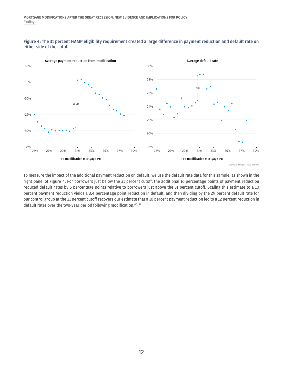



Source: JPMorgan Chase Institute

To measure the impact of the additional payment reduction on default, we use the default rate data for this sample, as shown in the right panel of Figure 4. For borrowers just below the 31 percent cutoff, the additional 16 percentage points of payment reduction reduced default rates by 5 percentage points relative to borrowers just above the 31 percent cutoff. Scaling this estimate to a 10 percent payment reduction yields a 3.4 percentage point reduction in default, and then dividing by the 29 percent default rate for our control group at the 31 percent cutoff recovers our estimate that a 10 percent payment reduction led to a 12 percent reduction in default rates over the two-year period following modification.<sup>[40](#page-32-13), [41](#page-32-14)</sup>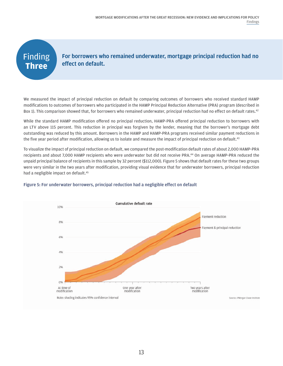### Finding **Three**



We measured the impact of principal reduction on default by comparing outcomes of borrowers who received standard HAMP modifications to outcomes of borrowers who participated in the HAMP Principal Reduction Alternative (PRA) program (described in Box 1). This comparison showed that, for borrowers who remained underwater, principal reduction had no effect on default rates.<sup>[42](#page-32-15)</sup>

While the standard HAMP modification offered no principal reduction, HAMP-PRA offered principal reduction to borrowers with an LTV above 115 percent. This reduction in principal was forgiven by the lender, meaning that the borrower's mortgage debt outstanding was reduced by this amount. Borrowers in the HAMP and HAMP-PRA programs received similar payment reductions in the five year period after modification, allowing us to isolate and measure the impact of principal reduction on default.<sup>43</sup>

To visualize the impact of principal reduction on default, we compared the post-modification default rates of about 2,000 HAMP-PRA recipients and about 7,000 HAMP recipients who were underwater but did not receive PRA[.44](#page-32-17) On average HAMP-PRA reduced the unpaid principal balance of recipients in this sample by 32 percent (\$112,000). Figure 5 shows that default rates for these two groups were very similar in the two years after modification, providing visual evidence that for underwater borrowers, principal reduction had a negligible impact on default.<sup>[45](#page-32-18)</sup>



#### Figure 5: For underwater borrowers, principal reduction had a negligible effect on default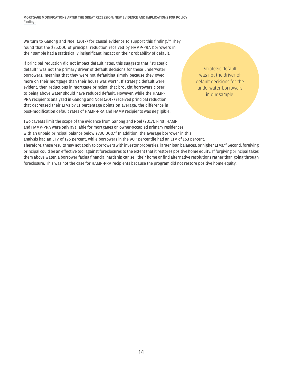MORTGAGE MODIFICATIONS AFTER THE GREAT RECESSION: NEW EVIDENCE AND IMPLICATIONS FOR POLICY Findings

We turn to Ganong and Noel (2017) for causal evidence to support this finding.<sup>46</sup> They found that the \$35,000 of principal reduction received by HAMP-PRA borrowers in their sample had a statistically insignificant impact on their probability of default.

If principal reduction did not impact default rates, this suggests that "strategic default" was not the primary driver of default decisions for these underwater borrowers, meaning that they were not defaulting simply because they owed more on their mortgage than their house was worth. If strategic default were evident, then reductions in mortgage principal that brought borrowers closer to being above water should have reduced default. However, while the HAMP-PRA recipients analyzed in Ganong and Noel (2017) received principal reduction that decreased their LTVs by 11 percentage points on average, the difference in post-modification default rates of HAMP-PRA and HAMP recipients was negligible.

Strategic default was not the driver of default decisions for the underwater borrowers in our sample.

Two caveats limit the scope of the evidence from Ganong and Noel (2017). First, HAMP and HAMP-PRA were only available for mortgages on owner-occupied primary residences with an unpaid principal balance below  $$730,000<sup>47</sup>$  In addition, the average borrower in this analysis had an LTV of 126 percent, while borrowers in the 90<sup>th</sup> percentile had an LTV of 163 percent. Therefore, these results may not apply to borrowers with investor properties, larger loan balances, or higher LTVs.<sup>48</sup> Second, forgiving principal could be an effective tool against foreclosures to the extent that it restores positive home equity. If forgiving principal takes them above water, a borrower facing financial hardship can sell their home or find alternative resolutions rather than going through

foreclosure. This was not the case for HAMP-PRA recipients because the program did not restore positive home equity.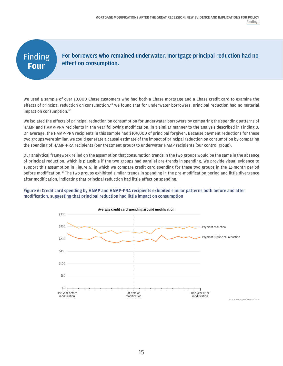### Finding **Four**

For borrowers who remained underwater, mortgage principal reduction had no effect on consumption.

We used a sample of over 10,000 Chase customers who had both a Chase mortgage and a Chase credit card to examine the effects of principal reduction on consumption.<sup>49</sup> We found that for underwater borrowers, principal reduction had no material impact on consumption.<sup>[50](#page-32-23)</sup>

We isolated the effects of principal reduction on consumption for underwater borrowers by comparing the spending patterns of HAMP and HAMP-PRA recipients in the year following modification, in a similar manner to the analysis described in Finding 3. On average, the HAMP-PRA recipients in this sample had \$109,000 of principal forgiven. Because payment reductions for these two groups were similar, we could generate a causal estimate of the impact of principal reduction on consumption by comparing the spending of HAMP-PRA recipients (our treatment group) to underwater HAMP recipients (our control group).

Our analytical framework relied on the assumption that consumption trends in the two groups would be the same in the absence of principal reduction, which is plausible if the two groups had parallel pre-trends in spending. We provide visual evidence to support this assumption in Figure 6, in which we compare credit card spending for these two groups in the 12-month period before modification.<sup>[51](#page-32-24)</sup> The two groups exhibited similar trends in spending in the pre-modification period and little divergence after modification, indicating that principal reduction had little effect on spending.

#### Figure 6: Credit card spending by HAMP and HAMP-PRA recipients exhibited similar patterns both before and after modification, suggesting that principal reduction had little impact on consumption

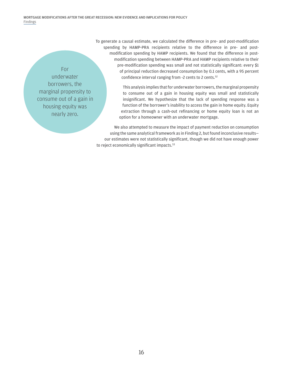For underwater borrowers, the marginal propensity to consume out of a gain in housing equity was nearly zero.

To generate a causal estimate, we calculated the difference in pre- and post-modification spending by HAMP-PRA recipients relative to the difference in pre- and postmodification spending by HAMP recipients. We found that the difference in postmodification spending between HAMP-PRA and HAMP recipients relative to their pre-modification spending was small and not statistically significant: every \$1 of principal reduction decreased consumption by 0.1 cents, with a 95 percent confidence interval ranging from -2 cents to 2 cents.<sup>52</sup>

> This analysis implies that for underwater borrowers, the marginal propensity to consume out of a gain in housing equity was small and statistically insignificant. We hypothesize that the lack of spending response was a function of the borrower's inability to access the gain in home equity. Equity extraction through a cash-out refinancing or home equity loan is not an option for a homeowner with an underwater mortgage.

We also attempted to measure the impact of payment reduction on consumption using the same analytical framework as in Finding 2, but found inconclusive results our estimates were not statistically significant, though we did not have enough power to reject economically significant impacts.<sup>[53](#page-32-26)</sup>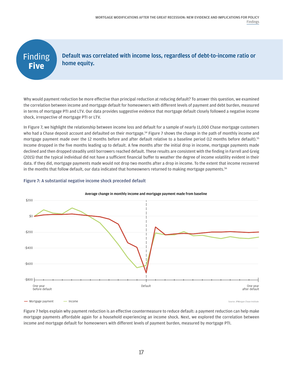### **Finding Five** Default was correlated with income loss, regardless of debt-to-income ratio or home equity. Why would payment reduction be more effective than principal reduction at reducing default? To answer this question, we examined the correlation between income and mortgage default for homeowners with different levels of payment and debt burden, measured in terms of mortgage PTI and LTV. Our data provides suggestive evidence that mortgage default closely followed a negative income

In Figure 7, we highlight the relationship between income loss and default for a sample of nearly 11,000 Chase mortgage customers who had a Chase deposit account and defaulted on their mortgage.<sup>[54](#page-32-27)</sup> Figure 7 shows the change in the path of monthly income and mortgage payment made over the 12 months before and after default relative to a baseline period (12 months before default)[.55](#page-32-28) Income dropped in the five months leading up to default. A few months after the initial drop in income, mortgage payments made declined and then dropped steadily until borrowers reached default. These results are consistent with the finding in Farrell and Greig (2015) that the typical individual did not have a sufficient financial buffer to weather the degree of income volatility evident in their data. If they did, mortgage payments made would not drop two months after a drop in income. To the extent that income recovered in the months that follow default, our data indicated that homeowners returned to making mortgage payments.<sup>[56](#page-32-29)</sup>

#### Figure 7: A substantial negative income shock preceded default

shock, irrespective of mortgage PTI or LTV.



#### Average change in monthly income and mortgage payment made from baseline

Figure 7 helps explain why payment reduction is an effective countermeasure to reduce default: a payment reduction can help make mortgage payments affordable again for a household experiencing an income shock. Next, we explored the correlation between income and mortgage default for homeowners with different levels of payment burden, measured by mortgage PTI.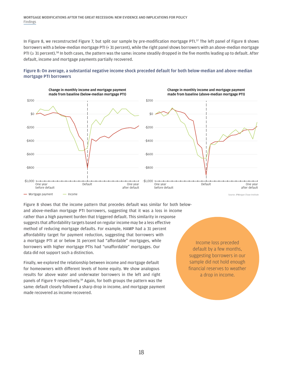In Figure 8, we reconstructed Figure 7, but split our sample by pre-modification mortgage PTI.<sup>[57](#page-33-0)</sup> The left panel of Figure 8 shows borrowers with a below-median mortgage PTI (< 31 percent), while the right panel shows borrowers with an above-median mortgage PTI (≥ 31 percent).<sup>[58](#page-33-1)</sup> In both cases, the pattern was the same: income steadily dropped in the five months leading up to default. After default, income and mortgage payments partially recovered.









Figure 8 shows that the income pattern that precedes default was similar for both belowand above-median mortgage PTI borrowers, suggesting that it was a loss in income rather than a high payment burden that triggered default. This similarity in response suggests that affordability targets based on regular income may be a less effective method of reducing mortgage defaults. For example, HAMP had a 31 percent affordability target for payment reduction, suggesting that borrowers with a mortgage PTI at or below 31 percent had "affordable" mortgages, while borrowers with higher mortgage PTIs had "unaffordable" mortgages. Our data did not support such a distinction.

Finally, we explored the relationship between income and mortgage default for homeowners with different levels of home equity. We show analogous results for above water and underwater borrowers in the left and right panels of Figure 9 respectively.<sup>59</sup> Again, for both groups the pattern was the same: default closely followed a sharp drop in income, and mortgage payment made recovered as income recovered.

Income loss preceded default by a few months, suggesting borrowers in our sample did not hold enough financial reserves to weather a drop in income.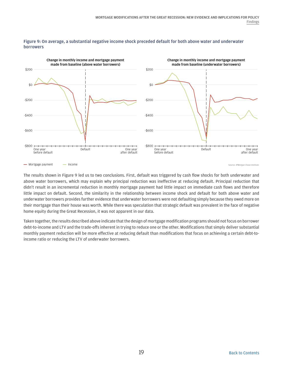

#### Figure 9: On average, a substantial negative income shock preceded default for both above water and underwater borrowers

Mortgage payment **- Income Income Income Income Income Income Income Institute Income Institute** 

The results shown in Figure 9 led us to two conclusions. First, default was triggered by cash flow shocks for both underwater and above water borrowers, which may explain why principal reduction was ineffective at reducing default. Principal reduction that didn't result in an incremental reduction in monthly mortgage payment had little impact on immediate cash flows and therefore little impact on default. Second, the similarity in the relationship between income shock and default for both above water and underwater borrowers provides further evidence that underwater borrowers were not defaulting simply because they owed more on their mortgage than their house was worth. While there was speculation that strategic default was prevalent in the face of negative home equity during the Great Recession, it was not apparent in our data.

Taken together, the results described above indicate that the design of mortgage modification programs should not focus on borrower debt-to-income and LTV and the trade-offs inherent in trying to reduce one or the other. Modifications that simply deliver substantial monthly payment reduction will be more effective at reducing default than modifications that focus on achieving a certain debt-toincome ratio or reducing the LTV of underwater borrowers.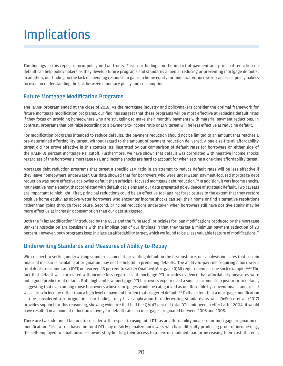## <span id="page-21-0"></span>**Implications**

The findings in this report inform policy on two fronts. First, our findings on the impact of payment and principal reduction on default can help policymakers as they develop future programs and standards aimed at reducing or preventing mortgage defaults. In addition, our finding on the lack of spending response to gains in home equity for underwater borrowers can assist policymakers focused on understanding the link between monetary policy and consumption.

#### Future Mortgage Modification Programs

The HAMP program ended at the close of 2016. As the mortgage industry and policymakers consider the optimal framework for future mortgage modification programs, our findings suggest that these programs will be most effective at reducing default rates if they focus on providing homeowners who are struggling to make their monthly payments with material payment reductions. In contrast, programs that optimize according to a payment-to-income ratio or LTV target will be less effective at reducing default.

For modification programs intended to reduce defaults, the payment reduction should not be limited to an amount that reaches a pre-determined affordability target, without regard to the amount of payment reduction delivered. A one-size-fits-all affordability target did not prove effective in this context, as illustrated by our comparison of default rates for borrowers on either side of the HAMP 31 percent mortgage PTI cutoff. Furthermore, we have shown that default was correlated with negative income shocks regardless of the borrower's mortgage PTI, and income shocks are hard to account for when setting a one-time affordability target.

Mortgage debt reduction programs that target a specific LTV ratio in an attempt to reduce default rates will be less effective if they leave homeowners underwater. Our data showed that for borrowers who were underwater, payment-focused mortgage debt reduction was more effective at slowing default than principal-focused mortgage debt reduction.<sup>[60](#page-33-3)</sup> In addition, it was income shocks, not negative home equity, that correlated with default decisions and our data presented no evidence of strategic default. Two caveats are important to highlight. First, principal reductions could be an effective tool against foreclosures to the extent that they restore positive home equity, as above-water borrowers who encounter income shocks can sell their home or find alternative resolutions rather than going through foreclosure. Second, principal reductions undertaken when borrowers still have positive equity may be more effective at increasing consumption than our data suggested.

Both the "Flex Modification" introduced by the GSEs and the "One Mod" principles for loan modifications produced by the Mortgage Bankers Association are consistent with the implications of our findings in that they target a minimum payment reduction of 20 percent. However, both programs keep in place an affordability target, which we found to be a less valuable feature of modifications.<sup>[61](#page-33-4)</sup>

#### Underwriting Standards and Measures of Ability-to-Repay

With respect to setting underwriting standards aimed at preventing default in the first instance, our analysis indicates that certain financial measures available at origination may not be helpful in predicting defaults. The ability-to-pay rule requiring a borrower's total debt-to-income ratio (DTI) not exceed 43 percent to satisfy Qualified Mortgage (QM) requirements is one such example.<sup>62,63</sup> The fact that default was correlated with income loss regardless of mortgage PTI provides evidence that affordability measures were not a good predictor of default. Both high and low mortgage PTI borrowers experienced a similar income drop just prior to default, suggesting that even among those borrowers whose mortgages would be categorized as unaffordable by conventional standards, it was a drop in income rather than a high level of payment burden that triggered default.<sup>64</sup> To the extent that a mortgage modification can be considered a re-origination, our findings may have application to underwriting standards as well. DeFusco et al. (2017) provides support for this reasoning, showing evidence that had the QM 43 percent total DTI limit been in effect after 2004, it would have resulted in a minimal reduction in five-year default rates on mortgages originated between 2005 and 2008.

There are two additional factors to consider with respect to using total DTI as an affordability measure for mortgage origination or modification. First, a rule based on total DTI may unfairly penalize borrowers who have difficulty producing proof of income (e.g., the self-employed or small business owners) by limiting their access to a new or modified loan or increasing their cost of credit.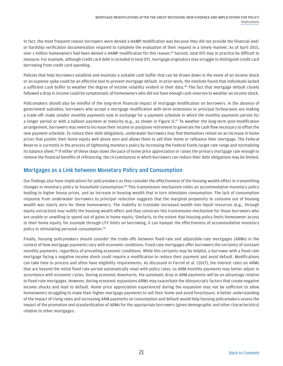In fact, the most frequent reason borrowers were denied a HAMP modification was because they did not provide the financial and/ or hardship verification documentation required to complete the evaluation of their request in a timely manner. As of April 2015, over 1 million homeowners had been denied a HAMP modification for this reason.<sup>[65](#page-33-8)</sup> Second, total DTI may in practice be difficult to measure. For example, although credit card debt is included in total DTI, mortgage originators may struggle to distinguish credit card borrowing from credit card spending.

Policies that help borrowers establish and maintain a suitable cash buffer that can be drawn down in the event of an income shock or an expense spike could be an effective tool to prevent mortgage default. In prior work, the Institute found that individuals lacked a sufficient cash buffer to weather the degree of income volatility evident in their data.<sup>66</sup> The fact that mortgage default closely followed a drop in income could be symptomatic of homeowners who did not have enough cash reserves to weather an income shock.

Policymakers should also be mindful of the long-term financial impact of mortgage modification on borrowers. In the absence of government subsidies, borrowers who accept a mortgage modification with term extensions or principal forbearance are making a trade-off: make smaller monthly payments now in exchange for a payment schedule in which the monthly payments persist for a longer period or with a balloon payment at maturity (e.g., as shown in Figure 1).<sup>[67](#page-33-10)</sup> To weather the long-term post-modification arrangement, borrowers may need to increase their income or postpone retirement to generate the cash flow necessary to offset the new payment schedule. To reduce their debt obligations, underwater borrowers may find themselves reliant on an increase in home prices that pushes their home equity well above zero and allows them to sell their home or refinance their mortgage. The Federal Reserve is currently in the process of tightening monetary policy by increasing the Federal Funds target rate range and normalizing its balance sheet.<sup>68</sup> If either of these steps slows the pace of home price appreciation or raises the primary mortgage rate enough to remove the financial benefits of refinancing, the circumstances in which borrowers can reduce their debt obligations may be limited.

#### Mortgages as a Link between Monetary Policy and Consumption

Our findings also have implications for policymakers as they consider the effectiveness of the housing wealth effect in transmitting changes in monetary policy to household consumption.<sup>69</sup> This transmission mechanism relies on accommodative monetary policy leading to higher house prices, and an increase in housing wealth that in turn stimulates consumption. The lack of consumption response from underwater borrowers to principal reduction suggests that the marginal propensity to consume out of housing wealth was nearly zero for these homeowners. The inability to translate increased wealth into liquid resources (e.g., through equity extraction) may nullify the housing wealth effect and thus constrain this transmission mechanism for those borrowers who are unable or unwilling to spend out of gains in home equity. Similarly, to the extent that housing policy limits homeowner access to their home equity, for example through LTV limits on borrowing, it can hamper the effectiveness of accommodative monetary policy in stimulating personal consumption.[70](#page-33-13)

Finally, housing policymakers should consider the trade-offs between fixed-rate and adjustable-rate mortgages (ARMs) in the context of how mortgage payments vary with economic conditions. Fixed-rate mortgages offer borrowers the certainty of constant monthly payments, regardless of prevailing economic conditions. While this certainty may be helpful, a borrower with a fixed-rate mortgage facing a negative income shock could require a modification to reduce their payment and avoid default. Modifications can take time to process and often have eligibility requirements. As discussed in Farrell et al. (2017), the interest rates on ARMs that are beyond the initial fixed rate period automatically reset with policy rates, so ARM monthly payments may better adjust in accordance with economic cycles. During economic downturns, the automatic drop in ARM payments will be an advantage relative to fixed-rate mortgages. However, during economic expansions ARMs may exacerbate the idiosyncratic factors that create negative income shocks and lead to default. Home price appreciation experienced during the expansion may not be sufficient to allow homeowners struggling to make their higher mortgage payments to sell their home and avoid foreclosure. A better understanding of the impact of rising rates and increasing ARM payments on consumption and default would help housing policymakers assess the impact of the promotion and standardization of ARMs for the appropriate borrowers (given demographic and other characteristics) relative to other mortgages.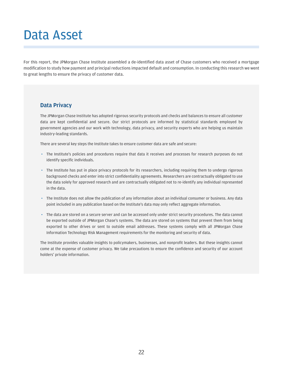## <span id="page-23-0"></span>Data Asset

For this report, the JPMorgan Chase Institute assembled a de-identified data asset of Chase customers who received a mortgage modification to study how payment and principal reductions impacted default and consumption. In conducting this research we went to great lengths to ensure the privacy of customer data.

#### Data Privacy

The JPMorgan Chase Institute has adopted rigorous security protocols and checks and balances to ensure all customer data are kept confidential and secure. Our strict protocols are informed by statistical standards employed by government agencies and our work with technology, data privacy, and security experts who are helping us maintain industry-leading standards.

There are several key steps the Institute takes to ensure customer data are safe and secure:

- *•* The Institute's policies and procedures require that data it receives and processes for research purposes do not identify specific individuals.
- *•* The Institute has put in place privacy protocols for its researchers, including requiring them to undergo rigorous background checks and enter into strict confidentiality agreements. Researchers are contractually obligated to use the data solely for approved research and are contractually obligated not to re-identify any individual represented in the data.
- *•* The Institute does not allow the publication of any information about an individual consumer or business. Any data point included in any publication based on the Institute's data may only reflect aggregate information.
- *•* The data are stored on a secure server and can be accessed only under strict security procedures. The data cannot be exported outside of JPMorgan Chase's systems. The data are stored on systems that prevent them from being exported to other drives or sent to outside email addresses. These systems comply with all JPMorgan Chase Information Technology Risk Management requirements for the monitoring and security of data.

The Institute provides valuable insights to policymakers, businesses, and nonprofit leaders. But these insights cannot come at the expense of customer privacy. We take precautions to ensure the confidence and security of our account holders' private information.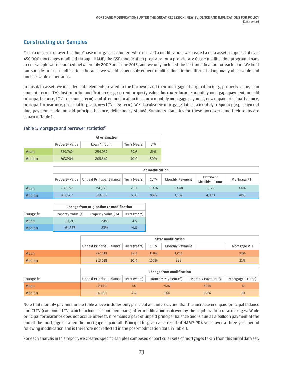#### Constructing our Samples

From a universe of over 1 million Chase mortgage customers who received a modification, we created a data asset composed of over 450,000 mortgages modified through HAMP, the GSE modification programs, or a proprietary Chase modification program. Loans in our sample were modified between July 2009 and June 2015, and we only included the first modification for each loan. We limit our sample to first modifications because we would expect subsequent modifications to be different along many observable and unobservable dimensions.

In this data asset, we included data elements related to the borrower and their mortgage at origination (e.g., property value, loan amount, term, LTV), just prior to modification (e.g., current property value, borrower income, monthly mortgage payment, unpaid principal balance, LTV, remaining term), and after modification (e.g., new monthly mortgage payment, new unpaid principal balance, principal forbearance, principal forgiven, new LTV, new term). We also observe mortgage data at a monthly frequency (e.g., payment due, payment made, unpaid principal balance, delinquency status). Summary statistics for these borrowers and their loans are shown in Table 1.

#### Table 1: Mortgage and borrower statistics<sup>71</sup>

|        | At origination |             |              |            |  |  |  |
|--------|----------------|-------------|--------------|------------|--|--|--|
|        | Property Value | Loan Amount | Term (years) | <b>LTV</b> |  |  |  |
| Mean   | 339,769        | 254,959     | 29.6         | 81%        |  |  |  |
| Median | 263,904        | 205,562     | 30.0         | 80%        |  |  |  |

|               | At modification |                                         |      |             |                 |                                   |              |
|---------------|-----------------|-----------------------------------------|------|-------------|-----------------|-----------------------------------|--------------|
|               | Property Value  | Unpaid Principal Balance   Term (years) |      | <b>CLTV</b> | Monthly Payment | <b>Borrower</b><br>Monthly Income | Mortgage PTI |
| Mean          | 258.557         | 250,773                                 | 25.1 | 104%        | 1.440           | 5,128                             | 44%          |
| <b>Median</b> | 202,567         | 199,039                                 | 26.0 | 98%         | 1,182           | 4,370                             | 41%          |

|           | <b>Change from origination to modification</b> |                    |              |  |  |  |
|-----------|------------------------------------------------|--------------------|--------------|--|--|--|
| Change in | Property Value (\$)                            | Property Value (%) | Term (years) |  |  |  |
| Mean      | $-81.211$                                      | $-24%$             | $-4.5$       |  |  |  |
| Median    | $-61.337$                                      | $-23%$             | $-4.0$       |  |  |  |

|             | <b>After modification</b>                       |      |      |                 |              |  |
|-------------|-------------------------------------------------|------|------|-----------------|--------------|--|
|             | Unpaid Principal Balance   Term (years) $\vert$ |      | CLTV | Monthly Payment | Mortgage PTI |  |
| <b>Mean</b> | 270.113                                         | 32.1 | 111% | 1.012           | 32%          |  |
| Median      | 213.618                                         | 30.4 | 105% | 838             | 31%          |  |

|               | <b>Change from modification</b>         |     |                                 |                      |                   |  |  |
|---------------|-----------------------------------------|-----|---------------------------------|----------------------|-------------------|--|--|
| Change in     | Unpaid Principal Balance   Term (years) |     | Monthly Payment $(\frac{4}{9})$ | Monthly Payment (\$) | Mortgage PTI (pp) |  |  |
| <b>Mean</b>   | 19.340                                  |     | -428                            | $-30%$               | $-12$             |  |  |
| <b>Median</b> | 14.580                                  | 4.4 | $-344$                          | $-29%$               | $-10$             |  |  |

Note that monthly payment in the table above includes only principal and interest, and that the increase in unpaid principal balance and CLTV (combined LTV, which includes second lien loans) after modification is driven by the capitalization of arrearages. While principal forbearance does not accrue interest, it remains a part of unpaid principal balance and is due as a balloon payment at the end of the mortgage or when the mortgage is paid off. Principal forgiven as a result of HAMP-PRA vests over a three year period following modification and is therefore not reflected in the post-modification data in Table 1.

For each analysis in this report, we created specific samples composed of particular sets of mortgages taken from this initial data set.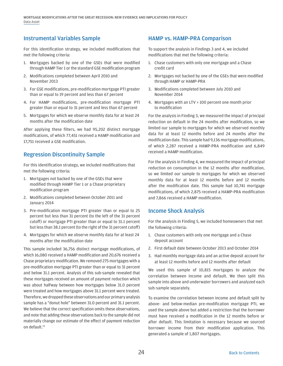#### Instrumental Variables Sample

For this identification strategy, we included modifications that met the following criteria:

- 1. Mortgages backed by one of the GSEs that were modified through HAMP Tier 1 or the standard GSE modification program
- 2. Modifications completed between April 2010 and November 2013
- 3. For GSE modifications, pre-modification mortgage PTI greater than or equal to 19 percent and less than 67 percent
- 4. For HAMP modifications, pre-modification mortgage PTI greater than or equal to 31 percent and less than 67 percent
- 5. Mortgages for which we observe monthly data for at least 24 months after the modification date

After applying these filters, we had 95,202 distinct mortgage modifications, of which 77,451 received a HAMP modification and 17,751 received a GSE modification.

#### Regression Discontinuity Sample

For this identification strategy, we included modifications that met the following criteria:

- 1. Mortgages not backed by one of the GSEs that were modified through HAMP Tier 1 or a Chase proprietary modification program
- 2. Modifications completed between October 2011 and January 2014
- 3. Pre-modification mortgage PTI greater than or equal to 25 percent but less than 31 percent (to the left of the 31 percent cutoff) or mortgage PTI greater than or equal to 31.1 percent but less than 38.1 percent (to the right of the 31 percent cutoff)
- 4. Mortgages for which we observe monthly data for at least 24 months after the modification date

This sample included 36,756 distinct mortgage modifications, of which 16,080 received a HAMP modification and 20,676 received a Chase proprietary modification. We removed 275 mortgages with a pre-modification mortgage PTI greater than or equal to 31 percent and below 31.1 percent. Analysis of this sub-sample revealed that these mortgages received an amount of payment reduction which was about halfway between how mortgages below 31.0 percent were treated and how mortgages above 31.1 percent were treated. Therefore, we dropped these observations and our primary analysis sample has a "donut hole" between 31.0 percent and 31.1 percent. We believe that the correct specification omits these observations, and note that adding these observations back to the sample did not materially change our estimate of the effect of payment reduction on default[.72](#page-33-15)

#### HAMP vs. HAMP-PRA Comparison

To support the analysis in Findings 3 and 4, we included modifications that met the following criteria:

- 1. Chase customers with only one mortgage and a Chase credit card
- 2. Mortgages not backed by one of the GSEs that were modified through HAMP or HAMP-PRA
- 3. Modifications completed between July 2010 and November 2014
- 4. Mortgages with an LTV > 100 percent one month prior to modification

For the analysis in Finding 3, we measured the impact of principal reduction on default in the 24 months after modification, so we limited our sample to mortgages for which we observed monthly data for at least 12 months before and 24 months after the modification date. This sample had 9,136 mortgage modifications, of which 2,287 received a HAMP-PRA modification and 6,849 received a HAMP modification.

For the analysis in Finding 4, we measured the impact of principal reduction on consumption in the 12 months after modification, so we limited our sample to mortgages for which we observed monthly data for at least 12 months before and 12 months after the modification date. This sample had 10,741 mortgage modifications, of which 2,875 received a HAMP-PRA modification and 7,866 received a HAMP modification.

#### Income Shock Analysis

For the analysis in Finding 5, we included homeowners that met the following criteria:

- 1. Chase customers with only one mortgage and a Chase deposit account
- 2. First default date between October 2013 and October 2014
- 3. Had monthly mortgage data and an active deposit account for at least 12 months before and 12 months after default

We used this sample of 10,815 mortgages to analyze the correlation between income and default. We then split this sample into above and underwater borrowers and analyzed each sub-sample separately.

To examine the correlation between income and default split by above- and below-median pre-modification mortgage PTI, we used the sample above but added a restriction that the borrower must have received a modification in the 12 months before or after default. This limitation is necessary because we sourced borrower income from their modification application. This generated a sample of 1,807 mortgages.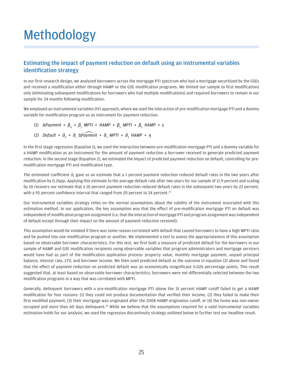## <span id="page-26-0"></span>Methodology

#### Estimating the impact of payment reduction on default using an instrumental variables identification strategy

In our first research design, we analyzed borrowers across the mortgage PTI spectrum who had a mortgage securitized by the GSEs and received a modification either through HAMP or the GSE modification programs. We limited our sample to first modifications only (eliminating subsequent modifications for borrowers who had multiple modifications) and required borrowers to remain in our sample for 24 months following modification.

We employed an instrumental variables (IV) approach, where we used the interaction of pre-modification mortgage PTI and a dummy variable for modification program as an instrument for payment reduction.

- (1)  $\Delta$ Payment =  $\beta_{0}$  +  $\beta_{1}$  MPTI × HAMP +  $\beta_{2}$  MPTI +  $\beta_{3}$  HAMP + ε
- (2) *Default* = *∂*<sup>0</sup> + *∂*<sup>1</sup> ∆*Payment* + *∂*<sup>2</sup> *MPTI* + *∂*<sup>3</sup> *HAMP* + *η*

In the first stage regression (Equation 1), we used the interaction between pre-modification mortgage PTI and a dummy variable for a HAMP modification as an instrument for the amount of payment reduction a borrower received to generate predicted payment reduction. In the second stage (Equation 2), we estimated the impact of predicted payment reduction on default, controlling for premodification mortgage PTI and modification type.

The estimated coefficient  $\partial_1$  gave us an estimate that a 1 percent payment reduction reduced default rates in the two years after modification by 0.26pp. Applying this estimate to the average default rate after two years for our sample of 11.9 percent and scaling by 10 recovers our estimate that a 10 percent payment reduction reduced default rates in the subsequent two years by 22 percent, with a 95 percent confidence interval that ranged from 20 percent to 24 percent.<sup>[73](#page-33-16)</sup>

Our instrumental variables strategy relies on the normal assumptions about the validity of the instrument associated with this estimation method. In our application, the key assumption was that the effect of pre-modification mortgage PTI on default was independent of modification program assignment (i.e. that the interaction of mortgage PTI and program assignment was independent of default except through their impact on the amount of payment reduction received).

This assumption would be violated if there was some reason correlated with default that caused borrowers to have a high MPTI ratio and be pushed into one modification program or another. We implemented a test to assess the appropriateness of this assumption based on observable borrower characteristics. For this test, we first built a measure of predicted default for the borrowers in our sample of HAMP and GSE modification recipients using observable variables that program administrators and mortgage servicers would have had as part of the modification application process: property value, monthly mortgage payment, unpaid principal balance, interest rate, LTV, and borrower income. We then used predicted default as the outcome in equation (2) above and found that the effect of payment reduction on predicted default was an economically insignificant 0.026 percentage points. This result suggested that, at least based on observable borrower characteristics, borrowers were not differentially selected between the two modification programs in a way that was correlated with MPTI.

Generally, delinquent borrowers with a pre-modification mortgage PTI above the 31 percent HAMP cutoff failed to get a HAMP modification for four reasons: (1) they could not produce documentation that verified their income, (2) they failed to make their first modified payment, (3) their mortgage was originated after the 2008 HAMP origination cutoff, or (4) the home was non-owner occupied and more than 60 days delinquent[.74](#page-33-17) While we believe that the assumptions required for a valid instrumental variables estimation holds for our analysis, we used the regression discontinuity strategy outlined below to further test our headline result.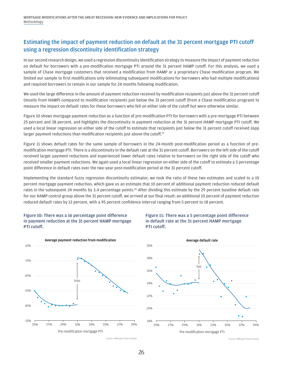MORTGAGE MODIFICATIONS AFTER THE GREAT RECESSION: NEW EVIDENCE AND IMPLICATIONS FOR POLICY Methodology

#### Estimating the impact of payment reduction on default at the 31 percent mortgage PTI cutoff using a regression discontinuity identification strategy

In our second research design, we used a regression discontinuity identification strategy to measure the impact of payment reduction on default for borrowers with a pre-modification mortgage PTI around the 31 percent HAMP cutoff. For this analysis, we used a sample of Chase mortgage customers that received a modification from HAMP or a proprietary Chase modification program. We limited our sample to first modifications only (eliminating subsequent modifications for borrowers who had multiple modifications) and required borrowers to remain in our sample for 24 months following modification.

We used the large difference in the amount of payment reduction received by modification recipients just above the 31 percent cutoff (mostly from HAMP) compared to modification recipients just below the 31 percent cutoff (from a Chase modification program) to measure the impact on default rates for these borrowers who fell on either side of the cutoff but were otherwise similar.

Figure 10 shows mortgage payment reduction as a function of pre-modification PTI for borrowers with a pre-mortgage PTI between 25 percent and 38 percent, and highlights the discontinuity in payment reduction at the 31 percent HAMP mortgage PTI cutoff. We used a local linear regression on either side of the cutoff to estimate that recipients just below the 31 percent cutoff received 16pp larger payment reductions than modification recipients just above the cutoff.<sup>75</sup>

Figure 11 shows default rates for the same sample of borrowers in the 24-month post-modification period as a function of premodification mortgage PTI. There is a discontinuity in the default rate at the 31 percent cutoff. Borrowers on the left side of the cutoff received larger payment reductions and experienced lower default rates relative to borrowers on the right side of the cutoff who received smaller payment reductions. We again used a local linear regression on either side of the cutoff to estimate a 5 percentage point difference in default rates over the two-year post-modification period at the 31 percent cutoff.

Implementing the standard fuzzy regression discontinuity estimator, we took the ratio of these two estimates and scaled to a 10 percent mortgage payment reduction, which gave us an estimate that 10 percent of additional payment reduction reduced default rates in the subsequent 24 months by 3.4 percentage points.<sup>76</sup> After dividing this estimate by the 29 percent baseline default rate for our HAMP control group above the 31 percent cutoff, we arrived at our final result: an additional 10 percent of payment reduction reduced default rates by 12 percent, with a 95 percent confidence interval ranging from 5 percent to 18 percent.

#### Figure 10: There was a 16 percentage point difference in payment reduction at the 31 percent HAMP mortgage PTI cutoff.







Source: JPMorgan Chase Institute

Source: JPMorgan Chase Institute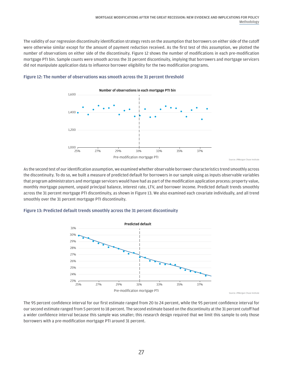The validity of our regression discontinuity identification strategy rests on the assumption that borrowers on either side of the cutoff were otherwise similar except for the amount of payment reduction received. As the first test of this assumption, we plotted the number of observations on either side of the discontinuity. Figure 12 shows the number of modifications in each pre-modification mortgage PTI bin. Sample counts were smooth across the 31 percent discontinuity, implying that borrowers and mortgage servicers did not manipulate application data to influence borrower eligibility for the two modification programs.



#### Figure 12: The number of observations was smooth across the 31 percent threshold

As the second test of our identification assumption, we examined whether observable borrower characteristics trend smoothly across the discontinuity. To do so, we built a measure of predicted default for borrowers in our sample using as inputs observable variables that program administrators and mortgage servicers would have had as part of the modification application process: property value, monthly mortgage payment, unpaid principal balance, interest rate, LTV, and borrower income. Predicted default trends smoothly across the 31 percent mortgage PTI discontinuity, as shown in Figure 13. We also examined each covariate individually, and all trend smoothly over the 31 percent mortgage PTI discontinuity.





The 95 percent confidence interval for our first estimate ranged from 20 to 24 percent, while the 95 percent confidence interval for our second estimate ranged from 5 percent to 18 percent. The second estimate based on the discontinuity at the 31 percent cutoff had a wider confidence interval because this sample was smaller; this research design required that we limit this sample to only those borrowers with a pre-modification mortgage PTI around 31 percent.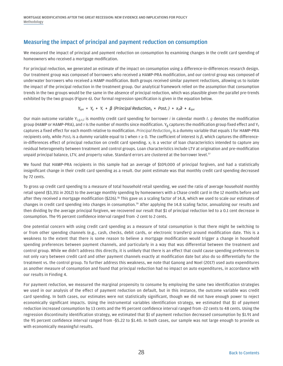MORTGAGE MODIFICATIONS AFTER THE GREAT RECESSION: NEW EVIDENCE AND IMPLICATIONS FOR POLICY Methodology

#### Measuring the impact of principal and payment reduction on consumption

We measured the impact of principal and payment reduction on consumption by examining changes in the credit card spending of homeowners who received a mortgage modification.

For principal reduction, we generated an estimate of the impact on consumption using a difference-in-differences research design. Our treatment group was composed of borrowers who received a HAMP-PRA modification, and our control group was composed of underwater borrowers who received a HAMP modification. Both groups received similar payment reductions, allowing us to isolate the impact of the principal reduction in the treatment group. Our analytical framework relied on the assumption that consumption trends in the two groups would be the same in the absence of principal reduction, which was plausible given the parallel pre-trends exhibited by the two groups (Figure 6). Our formal regression specification is given in the equation below.

$$
Y_{igrt} = Y_g + Y_r + \beta \text{ (Principal Reduction}_g \times Post_r) + X_{it} \partial + \varepsilon_{igrt}
$$

Our main outcome variable Y*i,g,τ,t* is monthly credit card spending for borrower *i* in calendar month *t*. *g* denotes the modification group (HAMP or HAMP-PRA), and *τ* is the number of months since modification. Yg captures the modification group fixed effect and Y*τ* captures a fixed effect for each month relative to modification. *Principal Reductiong* is a dummy variable that equals 1 for HAMP-PRA recipients only, while *Postτ* is a dummy variable equal to 1 when *τ* **≥** 0. The coefficient of interest is *β*, which captures the differencein-differences effect of principal reduction on credit card spending. x*i* is a vector of loan characteristics intended to capture any residual heterogeneity between treatment and control groups. Loan characteristics include LTV at origination and pre-modification unpaid principal balance, LTV, and property value. Standard errors are clustered at the borrower level.[77](#page-33-20)

We found that HAMP-PRA recipients in this sample had an average of \$109,000 of principal forgiven, and had a statistically insignificant change in their credit card spending as a result. Our point estimate was that monthly credit card spending decreased by 72 cents.

To gross up credit card spending to a measure of total household retail spending, we used the ratio of average household monthly retail spend (\$3,351 in 2012) to the average monthly spending by homeowners with a Chase credit card in the 12 months before and after they received a mortgage modification (\$226).<sup>78</sup> This gave us a scaling factor of 14.8, which we used to scale our estimates of changes in credit card spending into changes in consumption[.79](#page-33-22) After applying the 14.8 scaling factor, annualizing our results and then dividing by the average principal forgiven, we recovered our result that \$1 of principal reduction led to a 0.1 cent decrease in consumption. The 95 percent confidence interval ranged from -2 cent to 2 cents.

One potential concern with using credit card spending as a measure of total consumption is that there might be switching to or from other spending channels (e.g., cash, checks, debit cards, or electronic transfers) around modification date. This is a weakness to the extent that there is some reason to believe a mortgage modification would trigger a change in household spending preferences between payment channels, and particularly in a way that was differential between the treatment and control group. While we didn't address this directly, it is unlikely that there is an effect that could cause spending preferences to not only vary between credit card and other payment channels exactly at modification date but also do so differentially for the treatment vs. the control group. To further address this weakness, we note that Ganong and Noel (2017) used auto expenditures as another measure of consumption and found that principal reduction had no impact on auto expenditures, in accordance with our results in Finding 4.

For payment reduction, we measured the marginal propensity to consume by employing the same two identification strategies we used in our analysis of the effect of payment reduction on default, but in this instance, the outcome variable was credit card spending. In both cases, our estimates were not statistically significant, though we did not have enough power to reject economically significant impacts. Using the instrumental variables identification strategy, we estimated that \$1 of payment reduction increased consumption by 13 cents and the 95 percent confidence interval ranged from -22 cents to 48 cents. Using the regression discontinuity identification strategy, we estimated that \$1 of payment reduction decreased consumption by \$1.91 and the 95 percent confidence interval ranged from -\$5.22 to \$1.40. In both cases, our sample was not large enough to provide us with economically meaningful results.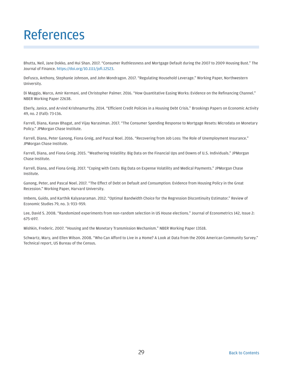## <span id="page-30-0"></span>References

Bhutta, Neil, Jane Dokko, and Hui Shan. 2017. "Consumer Ruthlessness and Mortgage Default during the 2007 to 2009 Housing Bust." The Journal of Finance. <https://doi.org/10.1111/jofi.12523>.

DeFusco, Anthony, Stephanie Johnson, and John Mondragon. 2017. "Regulating Household Leverage." Working Paper, Northwestern University.

Di Maggio, Marco, Amir Kermani, and Christopher Palmer. 2016. "How Quantitative Easing Works: Evidence on the Refinancing Channel." NBER Working Paper 22638.

Eberly, Janice, and Arvind Krishnamurthy. 2014. "Efficient Credit Policies in a Housing Debt Crisis." Brookings Papers on Economic Activity 49, no. 2 (Fall): 73-136.

Farrell, Diana, Kanav Bhagat, and Vijay Narasiman. 2017. "The Consumer Spending Response to Mortgage Resets: Microdata on Monetary Policy." JPMorgan Chase Institute.

Farrell, Diana, Peter Ganong, Fiona Greig, and Pascal Noel. 2016. "Recovering from Job Loss: The Role of Unemployment Insurance." JPMorgan Chase Institute.

Farrell, Diana, and Fiona Greig. 2015. "Weathering Volatility: Big Data on the Financial Ups and Downs of U.S. Individuals." JPMorgan Chase Institute.

Farrell, Diana, and Fiona Greig. 2017. "Coping with Costs: Big Data on Expense Volatility and Medical Payments." JPMorgan Chase Institute.

Ganong, Peter, and Pascal Noel. 2017. "The Effect of Debt on Default and Consumption: Evidence from Housing Policy in the Great Recession." Working Paper, Harvard University.

Imbens, Guido, and Karthik Kalyanaraman. 2012. "Optimal Bandwidth Choice for the Regression Discontinuity Estimator." Review of Economic Studies 79, no. 3: 933–959.

Lee, David S. 2008. "Randomized experiments from non-random selection in US House elections." Journal of Econometrics 142, Issue 2: 675-697.

Mishkin, Frederic. 2007. "Housing and the Monetary Transmission Mechanism." NBER Working Paper 13518.

Schwartz, Mary, and Ellen Wilson. 2008. "Who Can Afford to Live in a Home? A Look at Data from the 2006 American Community Survey." Technical report, US Bureau of the Census.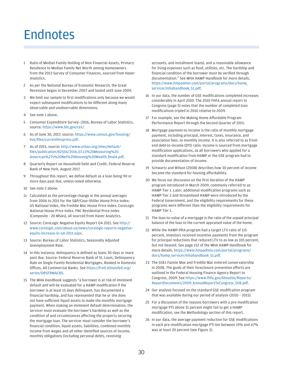## <span id="page-31-0"></span>Endnotes

- <span id="page-31-1"></span>1 Ratio of Median Family Holding of Non-Financial Assets, Primary Residence to Median Family Net Worth among Homeowners from the 2013 Survey of Consumer Finances, sourced from Haver Analytics.
- <span id="page-31-2"></span>2 As per the National Bureau of Economic Research, the Great Recession began in December 2007 and lasted until June 2009.
- <span id="page-31-3"></span>3 We limit our sample to first modifications only because we would expect subsequent modifications to be different along many observable and unobservable dimensions.
- <span id="page-31-4"></span>4 See note [1](#page-31-1) above.
- <span id="page-31-5"></span>5 Consumer Expenditure Survey—2016, Bureau of Labor Statistics, source:<https://www.bls.gov/cex/>.
- <span id="page-31-6"></span>6 [As of June 30, 2017, source: https://www.census.gov/housing/](https://www.census.gov/housing/hvs/files/currenthvspress.pdf) hvs/files/currenthvspress.pdf.
- <span id="page-31-7"></span>7 As of 2015, source: http://www.urban.org/sites/default/ files/publication/82556/2016.07.13%20Measuring%20 [American%27s%20Net%20Housing%20Wealth\\_final4.pdf.](http://www.urban.org/sites/default/files/publication/82556/2016.07.13%20Measuring%20American%27s%20Net%20Housing%20Wealth_final4.pdf)
- <span id="page-31-8"></span>8 Quarterly Report on Household Debt and Credit, Federal Reserve Bank of New York, August 2017.
- <span id="page-31-9"></span>9 Throughout this report, we define default as a loan being 90 or more days past due, unless noted otherwise.
- <span id="page-31-10"></span>10 See note [2](#page-31-2) above.
- <span id="page-31-11"></span>11 Calculated as the percentage change in the annual averages from 2006 to 2011 for the S&P/Case-Shiller Home Price Index: US National Index, the Freddie Mac House Price Index, CoreLogic National House Price Index, FNC Residential Price Index (Composite - 20 MSAs), all sourced from Haver Analytics.
- <span id="page-31-12"></span>12 Source: CoreLogic Negative Equity Report Q4 2011. See http:// [www.corelogic.com/about-us/news/corelogic-reports-negative](http://www.corelogic.com/about-us/news/corelogic-reports-negative-equity-increase-in-q4-2011.aspx)equity-increase-in-q4-2011.aspx.
- <span id="page-31-13"></span>13 Source: Bureau of Labor Statistics, Seasonally Adjusted Unemployment Rate.
- <span id="page-31-14"></span>14 In this instance, delinquency is defined as loans 30 days or more past due. Source: Federal Reserve Bank of St. Louis, Delinquency Rate on Single-Family Residential Mortgages, Booked in Domestic [Offices, All Commercial Banks. See https://fred.stlouisfed.org/](https://fred.stlouisfed.org/series/DRSFRMACBS) series/DRSFRMACBS.
- <span id="page-31-15"></span>15 The MHA Handbook suggests "a borrower is at risk of imminent default and will be evaluated for a HAMP modification if the borrower is at least 15 days delinquent, has documented a financial hardship, and has represented that he or she does not have sufficient liquid assets to make the monthly mortgage payment. When making an imminent default determination, the servicer must evaluate the borrower's hardship as well as the condition of and circumstances affecting the property securing the mortgage loan. The servicer must consider the borrower's financial condition, liquid assets, liabilities, combined monthly income from wages and all other identified sources of income, monthly obligations (including personal debts, revolving

accounts, and installment loans), and a reasonable allowance for living expenses such as food, utilities, etc. The hardship and financial condition of the borrower must be verified through documentation." See MHA HAMP Handbook for more details, [https://www.hmpadmin.com/portal/programs/docs/hamp\\_](https://www.hmpadmin.com/portal/programs/docs/hamp_servicer/mhahandbook_51.pdf) servicer/mhahandbook\_51.pdf.

- <span id="page-31-16"></span>16 In our data, the number of GSE modifications completed increases considerably in April 2010. The 2010 FHFA annual report to Congress (page 5) notes that the number of completed loan modifications tripled in 2010 relative to 2009.
- <span id="page-31-17"></span>17 For example, see the Making Home Affordable Program Performance Report through the Second Quarter of 2015.
- <span id="page-31-18"></span>18 Mortgage payment-to-income is the ratio of monthly mortgage payment, including principal, interest, taxes, insurance, and association fees, to monthly income. It is also referred to as frontend debt-to-income (DTI) ratio. Income is sourced from mortgage modification applications, as all borrowers who applied for a standard modification from HAMP or the GSE program had to provide documentation of income.
- <span id="page-31-19"></span>19 Schwartz and Wilson (2008) describes how 30 percent of income became the standard for housing affordability.
- <span id="page-31-20"></span>20 We focus our discussion on the first iteration of the HAMP program introduced in March 2009, commonly referred to as HAMP Tier 1. Later, additional modification programs such as HAMP Tier 2 and Streamlined HAMP were introduced by the Federal Government, and the eligibility requirements for these programs were different than the eligibility requirements for HAMP Tier 1.
- <span id="page-31-21"></span>21 The loan-to-value of a mortgage is the ratio of the unpaid principal balance of the loan to the current appraised value of the home.
- <span id="page-31-22"></span>22 While the HAMP-PRA program had a target LTV ratio of 115 percent, investors received incentive payments from the program for principal reductions that reduced LTV to as low as 105 percent, but not beyond. See page 152 of the MHA HAMP Handbook for [more details, https://www.hmpadmin.com/portal/programs/](https://www.hmpadmin.com/portal/programs/docs/hamp_servicer/mhahandbook_51.pdf) docs/hamp\_servicer/mhahandbook\_51.pdf.
- <span id="page-31-23"></span>23 The GSEs Fannie Mae and Freddie Mac entered conservatorship in 2008. The goals of their foreclosure prevention efforts are outlined in the Federal Housing Finance Agency Report to [Congress, 2009. See https://www.fhfa.gov/AboutUs/Reports/](https://www.fhfa.gov/AboutUs/Reports/ReportDocuments/2009_AnnualReportToCongress_508.pdf) ReportDocuments/2009\_AnnualReportToCongress\_508.pdf.
- <span id="page-31-24"></span>24 Our analysis focused on the standard GSE modification program that was available during our period of analysis (2010 – 2015).
- <span id="page-31-25"></span>25 For a discussion of the reasons borrowers with a pre-modification mortgage PTI above 31 percent might fail to get a HAMP modification, see the Methodology section of this report.
- <span id="page-31-26"></span>26 In our data, the average payment reduction for GSE modifications in each pre-modification mortgage PTI bin between 19% and 67% was at least 20 percent (see Figure 2).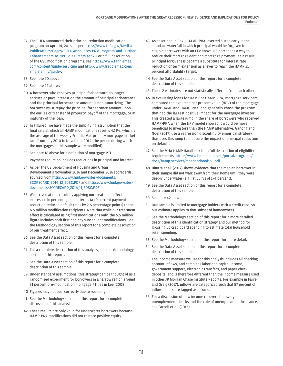- <span id="page-32-0"></span>27 The FHFA announced their principal reduction modification program on April 14, 2016, as per https://www.fhfa.gov/Media/ [PublicAffairs/Pages/FHFA-Announces-PRM-Program-and-Further-](https://www.fhfa.gov/Media/PublicAffairs/Pages/FHFA-Announces-PRM-Program-and-Further-Enhancements-to-NPL-Sales-Reqts.aspx)Enhancements-to-NPL-Sales-Reqts.aspx. For a full description of the GSE modification programs, see [https://www.fanniemae.](https://www.fanniemae.com/content/guide/servicing) [com/content/guide/servicing](https://www.fanniemae.com/content/guide/servicing) and [http://www.freddiemac.com/](http://www.freddiemac.com/singlefamily/guide/) [singlefamily/guide/](http://www.freddiemac.com/singlefamily/guide/).
- <span id="page-32-1"></span>28 See note [20](#page-31-20) above.
- <span id="page-32-2"></span>29 See note [22](#page-31-22) above.
- <span id="page-32-3"></span>30 A borrower who receives principal forbearance no longer accrues or pays interest on the amount of principal forbearance, and the principal forbearance amount is non-amortizing. The borrower must repay the principal forbearance amount upon the earlies of transfer of property, payoff of the mortgage, or at maturity of the loan.
- <span id="page-32-4"></span>31 In Figure 1, we have made the simplifying assumption that the final rate at which all HAMP modifications reset is 4.11%, which is the average of the weekly Freddie Mac primary mortgage market rate from July 2010 to November 2014 (the period during which the mortgages in this sample were modified).
- <span id="page-32-5"></span>32 See note [18](#page-31-18) above for a definition of mortgage PTI.
- <span id="page-32-6"></span>33 Payment reduction includes reductions in principal and interest.
- <span id="page-32-7"></span>34 As per the US Department of Housing and Urban Development's November 2016 and December 2016 scorecards, sourced from [https://www.hud.gov/sites/documents/](https://www.hud.gov/sites/documents/SCORECARD_2016_12_508C.PDF) [SCORECARD\\_2016\\_12\\_508C.PDF](https://www.hud.gov/sites/documents/SCORECARD_2016_12_508C.PDF) and [https://www.hud.gov/sites/](https://www.hud.gov/sites/documents/SCORECARD_2016_11_508C.PDF) [documents/SCORECARD\\_2016\\_11\\_508C.PDF](https://www.hud.gov/sites/documents/SCORECARD_2016_11_508C.PDF)
- <span id="page-32-8"></span>35 We arrived at this result by applying our treatment effect expressed in percentage point terms (a 10 percent payment reduction reduced default rates by 2.6 percentage points) to the 6.5 million modification recipients. Note that while our treatment effect is calculated using first modifications only, the 6.5 million figure includes both first and any subsequent modifications. See the Methodology section of this report for a complete description of our treatment effect.
- <span id="page-32-9"></span>36 See the Data Asset section of this report for a complete description of this sample.
- <span id="page-32-10"></span>37 For a complete description of this analysis, see the Methodology section of this report.
- <span id="page-32-11"></span>38 See the Data Asset section of this report for a complete description of this sample.
- <span id="page-32-12"></span>39 Under standard assumptions, this strategy can be thought of as a randomized experiment for borrowers in a narrow region around 31 percent pre-modification mortgage PTI, as in Lee (2008).
- <span id="page-32-13"></span>40 Figures may not sum correctly due to rounding.
- <span id="page-32-14"></span>41 See the Methodology section of this report for a complete discussion of this analysis.
- <span id="page-32-15"></span>42 These results are only valid for underwater borrowers because HAMP-PRA modifications did not restore positive equity.
- <span id="page-32-16"></span>43 As described in Box 1, HAMP-PRA inserted a step early in the standard waterfall in which principal would be forgiven for eligible borrowers with an LTV above 115 percent as a way to reduce their mortgage debt and mortgage payment. As a result, principal forgiveness became a substitute for interest rate reduction or term extension as a lever to reach the HAMP 31 percent affordability target.
- <span id="page-32-17"></span>44 See the Data Asset section of this report for a complete description of this sample.
- <span id="page-32-18"></span>45 These 2 estimates are not statistically different from each other.
- <span id="page-32-19"></span>46 In evaluating loans for HAMP or HAMP-PRA, mortgage servicers computed the expected net present value (NPV) of the mortgage under HAMP and HAMP-PRA, and generally chose the program that had the largest positive impact for the mortgage investor. This created a large jump in the share of borrowers who received HAMP-PRA when the NPV model showed it would be more beneficial to investors than the HAMP alternative. Ganong and Noel (2017) use a regression discontinuity empirical strategy that uses this jump to measure the impact of principal reduction on default.
- <span id="page-32-20"></span>47 See the MHA HAMP Handbook for a full description of eligibility [requirements, https://www.hmpadmin.com/portal/programs/](https://www.hmpadmin.com/portal/programs/docs/hamp_servicer/mhahandbook_51.pdf) docs/hamp\_servicer/mhahandbook\_51.pdf.
- <span id="page-32-21"></span>48 Bhutta et al. (2017) shows evidence that the median borrower in their sample did not walk away from their home until they were deeply underwater (e.g., at CLTVs of 174 percent).
- <span id="page-32-22"></span>49 See the Data Asset section of this report for a complete description of this sample.
- <span id="page-32-23"></span>50 See note [42](#page-32-15) above.
- <span id="page-32-24"></span>51 Our sample is limited to mortgage holders with a credit card, so our estimate applies to that subset of homeowners.
- <span id="page-32-25"></span>52 See the Methodology section of this report for a more detailed description of this identification strategy and our method for grossing up credit card spending to estimate total household retail spending.
- <span id="page-32-26"></span>53 See the Methodology section of this report for more detail.
- <span id="page-32-27"></span>54 See the Data Asset section of this report for a complete description of this sample.
- <span id="page-32-28"></span>55 The income measure we use for this analysis includes all checking account inflows, and combines labor and capital income, government support, electronic transfers, and paper check deposits, and is therefore different than the income measure used in other JP Morgan Chase Institute Reports. For example in Farrell and Greig (2017), inflows are categorized such that 57 percent of inflow dollars are tagged as income.
- <span id="page-32-29"></span>56 For a discussion of how income recovers following unemployment shocks and the role of unemployment insurance, see Farrell et al. (2016).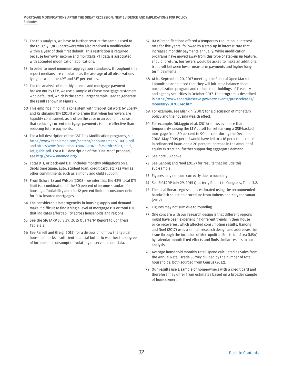- <span id="page-33-0"></span>57 For this analysis, we have to further restrict the sample used to the roughly 1,800 borrowers who also received a modification within a year of their first default. This restriction is required because borrower income and mortgage PTI data is associated with accepted modification applications.
- <span id="page-33-1"></span>58 In order to meet minimum aggregation standards, throughout this report medians are calculated as the average of all observations lying between the 49<sup>th</sup> and 51<sup>st</sup> percentiles.
- <span id="page-33-2"></span>59 For the analysis of monthly income and mortgage payment broken out by LTV, we use a sample of Chase mortgage customers who defaulted, which is the same, larger sample used to generate the results shown in Figure 7.
- <span id="page-33-3"></span>60 This empirical finding is consistent with theoretical work by Eberly and Krishnamurthy (2014) who argue that when borrowers are liquidity constrained, as is often the case in an economic crisis, that reducing current mortgage payments is more effective than reducing future payments.
- <span id="page-33-4"></span>61 For a full description of the GSE Flex Modification programs, see <https://www.fanniemae.com/content/announcement/ll1606.pdf> [and http://www.freddiemac.com/learn/pdfs/service/flex\\_mod\\_](http://www.freddiemac.com/learn/pdfs/service/flex_mod_ref_guide.pdf) ref guide.pdf. For a full description of the "One Mod" proposal, see<http://www.onemod.org/>.
- <span id="page-33-5"></span>62 Total DTI, or back-end DTI, includes monthly obligations on all debts (mortgage, auto, student loan, credit card, etc.) as well as other commitments such as alimony and child support.
- <span id="page-33-6"></span>63 From Schwartz and Wilson (2008), we infer that the 43% total DTI limit is a combination of the 30 percent of income standard for housing affordability and the 12 percent limit on consumer debt for FHA-insured mortgages.
- <span id="page-33-7"></span>64 The considerable heterogeneity in housing supply and demand make it difficult to find a single level of mortgage PTI or total DTI that indicates affordability across households and regions.
- <span id="page-33-8"></span>65 See the SIGTARP July 29, 2015 Quarterly Report to Congress, Table 3.2.
- <span id="page-33-9"></span>66 See Farrell and Greig (2015) for a discussion of how the typical household lacks a sufficient financial buffer to weather the degree of income and consumption volatility observed in our data.
- <span id="page-33-10"></span>67 HAMP modifications offered a temporary reduction in interest rate for five years, followed by a step-up in interest rate that increased monthly payments annually. While modification programs have moved away from this type of step-up up feature, should it return, borrowers would be asked to make an additional trade-off between lower near-term payments and higher longterm payments.
- <span id="page-33-11"></span>68 At its September 20, 2017 meeting, the Federal Open Market Committee announced that they will initiate a balance sheet normalization program and reduce their holdings of Treasury and agency securities in October 2017. The program is described [in https://www.federalreserve.gov/newsevents/pressreleases/](https://www.federalreserve.gov/newsevents/pressreleases/monetary20170614c.htm) monetary20170614c.htm.
- <span id="page-33-12"></span>69 For example, see Mishkin (2007) for a discussion of monetary policy and the housing wealth effect.
- <span id="page-33-13"></span>70 For example, DiMaggio et al. (2016) shows evidence that temporarily raising the LTV cutoff for refinancing a GSE-backed mortgage from 80 percent to 90 percent during the December 2008–May 2009 period would have led to a 16 percent increase in refinanced loans and a 20 percent increase in the amount of equity extraction, further supporting aggregate demand.
- <span id="page-33-14"></span>71 See note [58](#page-33-1) above.
- <span id="page-33-15"></span>72 See Ganong and Noel (2017) for results that include this sub-sample.
- <span id="page-33-16"></span>73 Figures may not sum correctly due to rounding.
- <span id="page-33-17"></span>74 See SIGTARP July 29, 2015 Quarterly Report to Congress, Table 3.2.
- <span id="page-33-18"></span>75 The local linear regression is estimated using the recommended bandwidth selection procedure from Imbens and Kalyanaraman (2012).
- <span id="page-33-19"></span>76 Figures may not sum due to rounding.
- <span id="page-33-20"></span>77 One concern with our research design is that different regions might have been experiencing different trends in their house price recoveries, which affected consumption results. Ganong and Noel (2017) uses a similar research design and addresses this issue through the inclusion of Metropolitan Statistical Area (MSA) by calendar-month fixed effects and finds similar results to our analysis.
- <span id="page-33-21"></span>78 Average household monthly retail spend calculated as Sales from the Annual Retail Trade Survey divided by the number of total households, both sourced from Census (2012).
- <span id="page-33-22"></span>79 Our results use a sample of homeowners with a credit card and therefore may differ from estimates based on a broader sample of homeowners.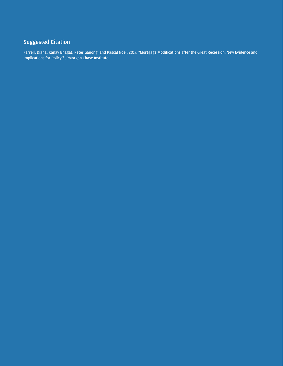### <span id="page-34-0"></span>Suggested Citation

Farrell, Diana, Kanav Bhagat, Peter Ganong, and Pascal Noel. 2017. "Mortgage Modifications after the Great Recession: New Evidence and Implications for Policy." JPMorgan Chase Institute.